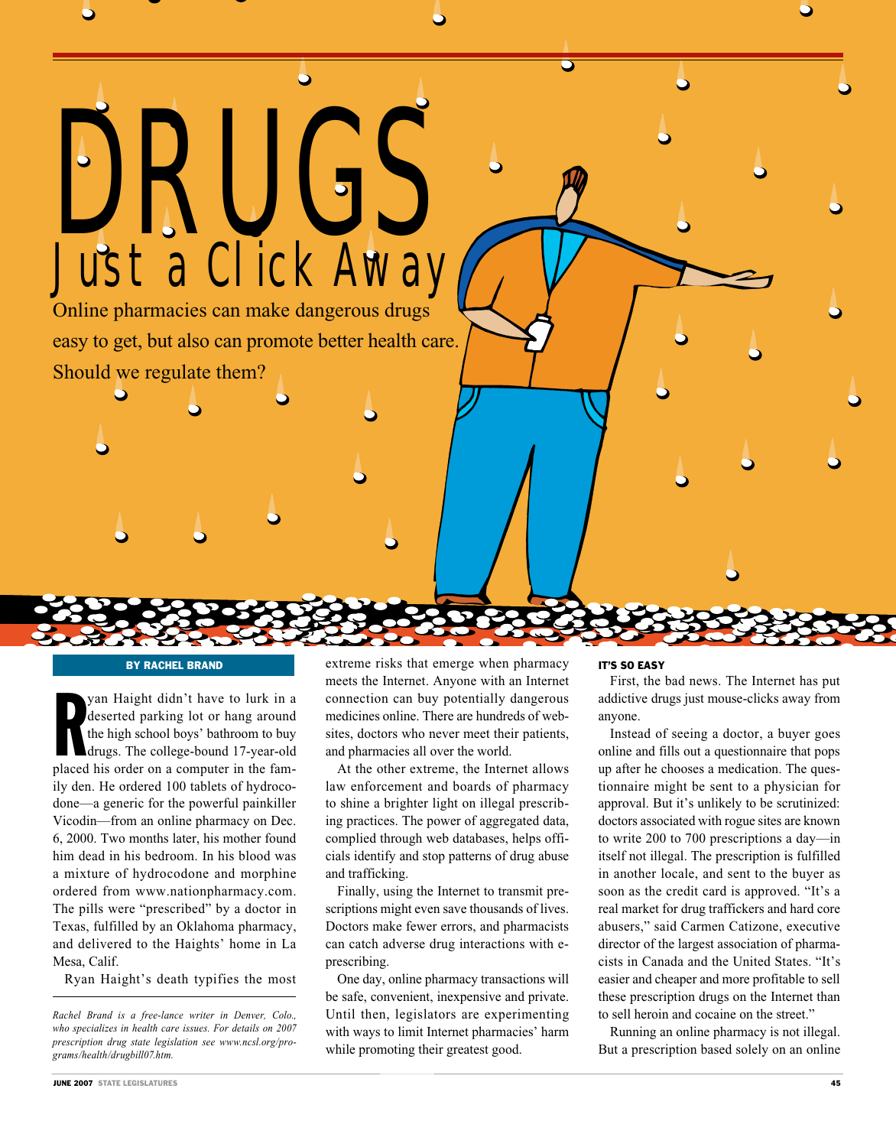# DRUGS Just a Click Away

Online pharmacies can make dangerous drugs easy to get, but also can promote better health care. Should we regulate them?

# By Rachel Brand

yan Haight didn't have to lurk in a<br>deserted parking lot or hang around<br>the high school boys' bathroom to buy<br>drugs. The college-bound 17-year-old<br>placed his order on a computer in the famyan Haight didn't have to lurk in a deserted parking lot or hang around the high school boys' bathroom to buy drugs. The college-bound 17-year-old ily den. He ordered 100 tablets of hydrocodone—a generic for the powerful painkiller Vicodin—from an online pharmacy on Dec. 6, 2000. Two months later, his mother found him dead in his bedroom. In his blood was a mixture of hydrocodone and morphine ordered from www.nationpharmacy.com. The pills were "prescribed" by a doctor in Texas, fulfilled by an Oklahoma pharmacy, and delivered to the Haights' home in La Mesa, Calif.

Ryan Haight's death typifies the most

extreme risks that emerge when pharmacy meets the Internet. Anyone with an Internet connection can buy potentially dangerous medicines online. There are hundreds of websites, doctors who never meet their patients, and pharmacies all over the world.

At the other extreme, the Internet allows law enforcement and boards of pharmacy to shine a brighter light on illegal prescribing practices. The power of aggregated data, complied through web databases, helps officials identify and stop patterns of drug abuse and trafficking.

Finally, using the Internet to transmit prescriptions might even save thousands of lives. Doctors make fewer errors, and pharmacists can catch adverse drug interactions with eprescribing.

One day, online pharmacy transactions will be safe, convenient, inexpensive and private. Until then, legislators are experimenting with ways to limit Internet pharmacies' harm while promoting their greatest good.

### IT'S SO EASY

First, the bad news. The Internet has put addictive drugs just mouse-clicks away from anyone.

Instead of seeing a doctor, a buyer goes online and fills out a questionnaire that pops up after he chooses a medication. The questionnaire might be sent to a physician for approval. But it's unlikely to be scrutinized: doctors associated with rogue sites are known to write 200 to 700 prescriptions a day—in itself not illegal. The prescription is fulfilled in another locale, and sent to the buyer as soon as the credit card is approved. "It's a real market for drug traffickers and hard core abusers," said Carmen Catizone, executive director of the largest association of pharmacists in Canada and the United States. "It's easier and cheaper and more profitable to sell these prescription drugs on the Internet than to sell heroin and cocaine on the street."

Running an online pharmacy is not illegal. But a prescription based solely on an online

*Rachel Brand is a free-lance writer in Denver, Colo., who specializes in health care issues. For details on 2007 prescription drug state legislation see www.ncsl.org/programs/health/drugbill07.htm.*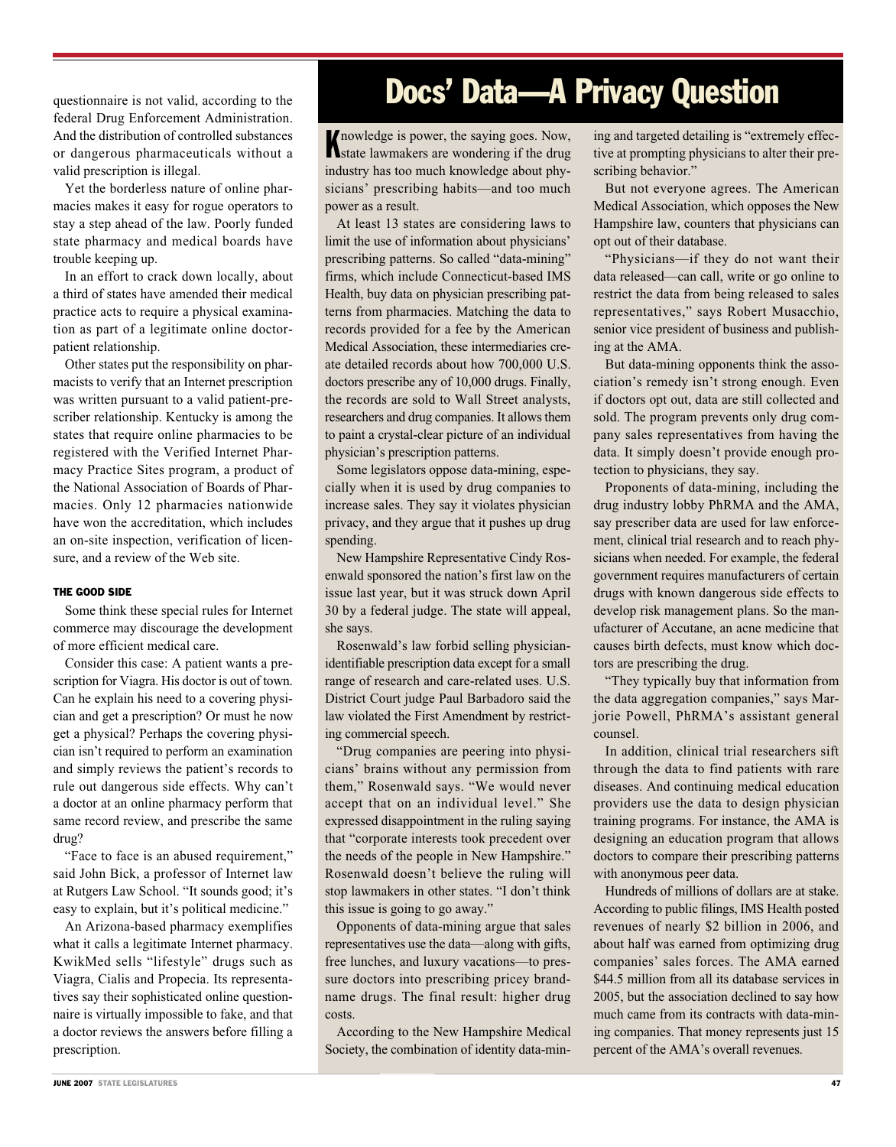federal Drug Enforcement Administration. And the distribution of controlled substances or dangerous pharmaceuticals without a valid prescription is illegal.

Yet the borderless nature of online pharmacies makes it easy for rogue operators to stay a step ahead of the law. Poorly funded state pharmacy and medical boards have trouble keeping up.

In an effort to crack down locally, about a third of states have amended their medical practice acts to require a physical examination as part of a legitimate online doctorpatient relationship.

Other states put the responsibility on pharmacists to verify that an Internet prescription was written pursuant to a valid patient-prescriber relationship. Kentucky is among the states that require online pharmacies to be registered with the Verified Internet Pharmacy Practice Sites program, a product of the National Association of Boards of Pharmacies. Only 12 pharmacies nationwide have won the accreditation, which includes an on-site inspection, verification of licensure, and a review of the Web site.

# THE GOOD SIDE

Some think these special rules for Internet commerce may discourage the development of more efficient medical care.

Consider this case: A patient wants a prescription for Viagra. His doctor is out of town. Can he explain his need to a covering physician and get a prescription? Or must he now get a physical? Perhaps the covering physician isn't required to perform an examination and simply reviews the patient's records to rule out dangerous side effects. Why can't a doctor at an online pharmacy perform that same record review, and prescribe the same drug?

"Face to face is an abused requirement," said John Bick, a professor of Internet law at Rutgers Law School. "It sounds good; it's easy to explain, but it's political medicine."

An Arizona-based pharmacy exemplifies what it calls a legitimate Internet pharmacy. KwikMed sells "lifestyle" drugs such as Viagra, Cialis and Propecia. Its representatives say their sophisticated online questionnaire is virtually impossible to fake, and that a doctor reviews the answers before filling a prescription.

# questionnaire is not valid, according to the **Docs' Data—A Privacy Question**

**K** nowledge is power, the saying goes. Now, state lawmakers are wondering if the drug state lawmakers are wondering if the drug industry has too much knowledge about physicians' prescribing habits—and too much power as a result.

At least 13 states are considering laws to limit the use of information about physicians' prescribing patterns. So called "data-mining" firms, which include Connecticut-based IMS Health, buy data on physician prescribing patterns from pharmacies. Matching the data to records provided for a fee by the American Medical Association, these intermediaries create detailed records about how 700,000 U.S. doctors prescribe any of 10,000 drugs. Finally, the records are sold to Wall Street analysts, researchers and drug companies. It allows them to paint a crystal-clear picture of an individual physician's prescription patterns.

Some legislators oppose data-mining, especially when it is used by drug companies to increase sales. They say it violates physician privacy, and they argue that it pushes up drug spending.

New Hampshire Representative Cindy Rosenwald sponsored the nation's first law on the issue last year, but it was struck down April 30 by a federal judge. The state will appeal, she says.

Rosenwald's law forbid selling physicianidentifiable prescription data except for a small range of research and care-related uses. U.S. District Court judge Paul Barbadoro said the law violated the First Amendment by restricting commercial speech.

"Drug companies are peering into physicians' brains without any permission from them," Rosenwald says. "We would never accept that on an individual level." She expressed disappointment in the ruling saying that "corporate interests took precedent over the needs of the people in New Hampshire." Rosenwald doesn't believe the ruling will stop lawmakers in other states. "I don't think this issue is going to go away."

Opponents of data-mining argue that sales representatives use the data—along with gifts, free lunches, and luxury vacations—to pressure doctors into prescribing pricey brandname drugs. The final result: higher drug costs.

According to the New Hampshire Medical Society, the combination of identity data-mining and targeted detailing is "extremely effective at prompting physicians to alter their prescribing behavior."

But not everyone agrees. The American Medical Association, which opposes the New Hampshire law, counters that physicians can opt out of their database.

"Physicians—if they do not want their data released—can call, write or go online to restrict the data from being released to sales representatives," says Robert Musacchio, senior vice president of business and publishing at the AMA.

But data-mining opponents think the association's remedy isn't strong enough. Even if doctors opt out, data are still collected and sold. The program prevents only drug company sales representatives from having the data. It simply doesn't provide enough protection to physicians, they say.

Proponents of data-mining, including the drug industry lobby PhRMA and the AMA, say prescriber data are used for law enforcement, clinical trial research and to reach physicians when needed. For example, the federal government requires manufacturers of certain drugs with known dangerous side effects to develop risk management plans. So the manufacturer of Accutane, an acne medicine that causes birth defects, must know which doctors are prescribing the drug.

"They typically buy that information from the data aggregation companies," says Marjorie Powell, PhRMA's assistant general counsel.

In addition, clinical trial researchers sift through the data to find patients with rare diseases. And continuing medical education providers use the data to design physician training programs. For instance, the AMA is designing an education program that allows doctors to compare their prescribing patterns with anonymous peer data.

Hundreds of millions of dollars are at stake. According to public filings, IMS Health posted revenues of nearly \$2 billion in 2006, and about half was earned from optimizing drug companies' sales forces. The AMA earned \$44.5 million from all its database services in 2005, but the association declined to say how much came from its contracts with data-mining companies. That money represents just 15 percent of the AMA's overall revenues.